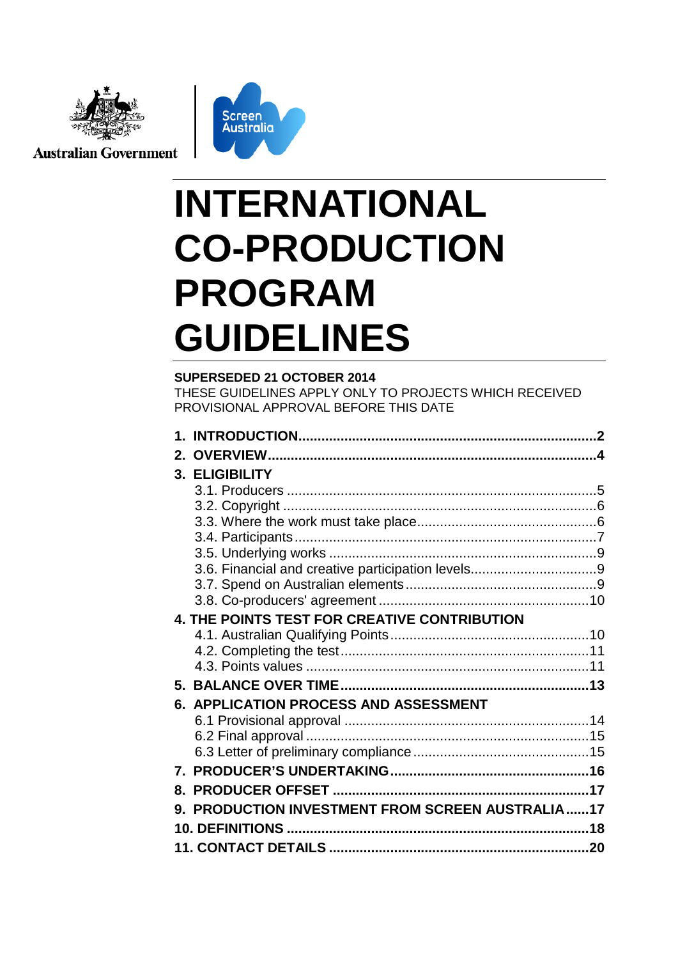

**Australian Government** 



# **INTERNATIONAL CO-PRODUCTION PROGRAM GUIDELINES**

**SUPERSEDED 21 OCTOBER 2014** THESE GUIDELINES APPLY ONLY TO PROJECTS WHICH RECEIVED PROVISIONAL APPROVAL BEFORE THIS DATE

| $2_{-}$ |                                                      |  |
|---------|------------------------------------------------------|--|
|         | 3. ELIGIBILITY                                       |  |
|         |                                                      |  |
|         |                                                      |  |
|         |                                                      |  |
|         |                                                      |  |
|         |                                                      |  |
|         |                                                      |  |
|         |                                                      |  |
|         |                                                      |  |
|         | 4. THE POINTS TEST FOR CREATIVE CONTRIBUTION         |  |
|         |                                                      |  |
|         |                                                      |  |
|         |                                                      |  |
|         |                                                      |  |
|         | 6. APPLICATION PROCESS AND ASSESSMENT                |  |
|         |                                                      |  |
|         |                                                      |  |
|         |                                                      |  |
|         |                                                      |  |
| 8.      |                                                      |  |
| 9.      | <b>PRODUCTION INVESTMENT FROM SCREEN AUSTRALIA17</b> |  |
|         |                                                      |  |
|         |                                                      |  |
|         |                                                      |  |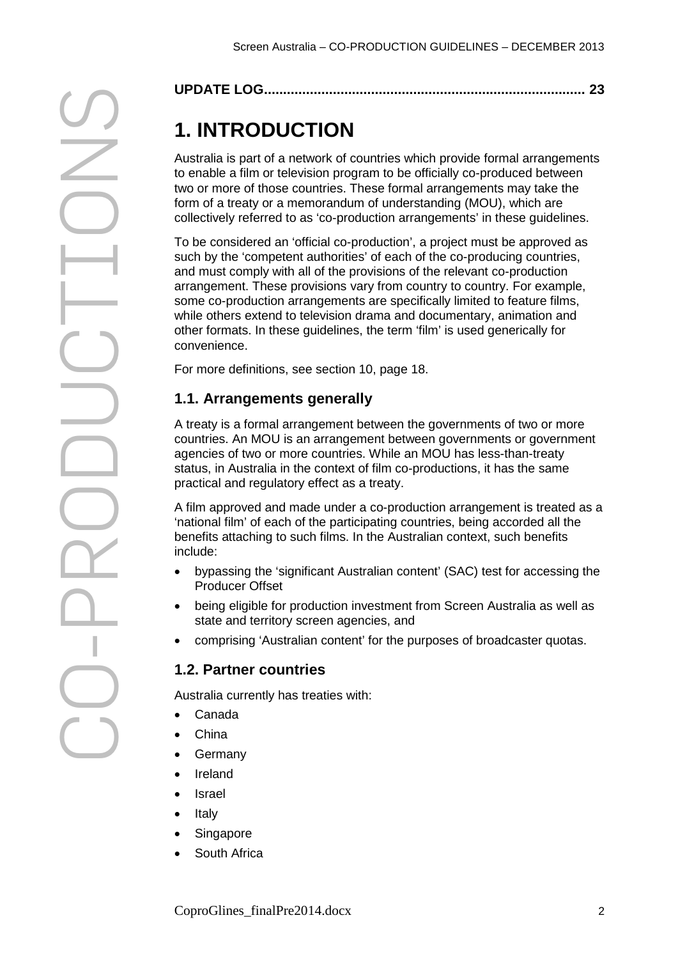|--|

# **1. INTRODUCTION**

Australia is part of a network of countries which provide formal arrangements to enable a film or television program to be officially co-produced between two or more of those countries. These formal arrangements may take the form of a treaty or a memorandum of understanding (MOU), which are collectively referred to as 'co-production arrangements' in these guidelines.

**1. INTRODUCTION**<br> **2.1. INTRODUCTION**<br>
Australia is part of a network of countries which provide formal arrangements<br>
from orbits of the free bision frog commutation (more for the control of the composite of the composite To be considered an 'official co-production', a project must be approved as such by the 'competent authorities' of each of the co-producing countries, and must comply with all of the provisions of the relevant co-production arrangement. These provisions vary from country to country. For example, some co-production arrangements are specifically limited to feature films, while others extend to television drama and documentary, animation and other formats. In these guidelines, the term 'film' is used generically for convenience.

For more definitions, see section 10, page [18.](#page-16-0)

# **1.1. Arrangements generally**

A treaty is a formal arrangement between the governments of two or more countries. An MOU is an arrangement between governments or government agencies of two or more countries. While an MOU has less-than-treaty status, in Australia in the context of film co-productions, it has the same practical and regulatory effect as a treaty.

A film approved and made under a co-production arrangement is treated as a 'national film' of each of the participating countries, being accorded all the benefits attaching to such films. In the Australian context, such benefits include:

- bypassing the 'significant Australian content' (SAC) test for accessing the Producer Offset
- being eligible for production investment from Screen Australia as well as state and territory screen agencies, and
- comprising 'Australian content' for the purposes of broadcaster quotas.

# **1.2. Partner countries**

Australia currently has treaties with:

- Canada
- China
- **Germany**
- Ireland
- Israel
- Italy
- Singapore
- South Africa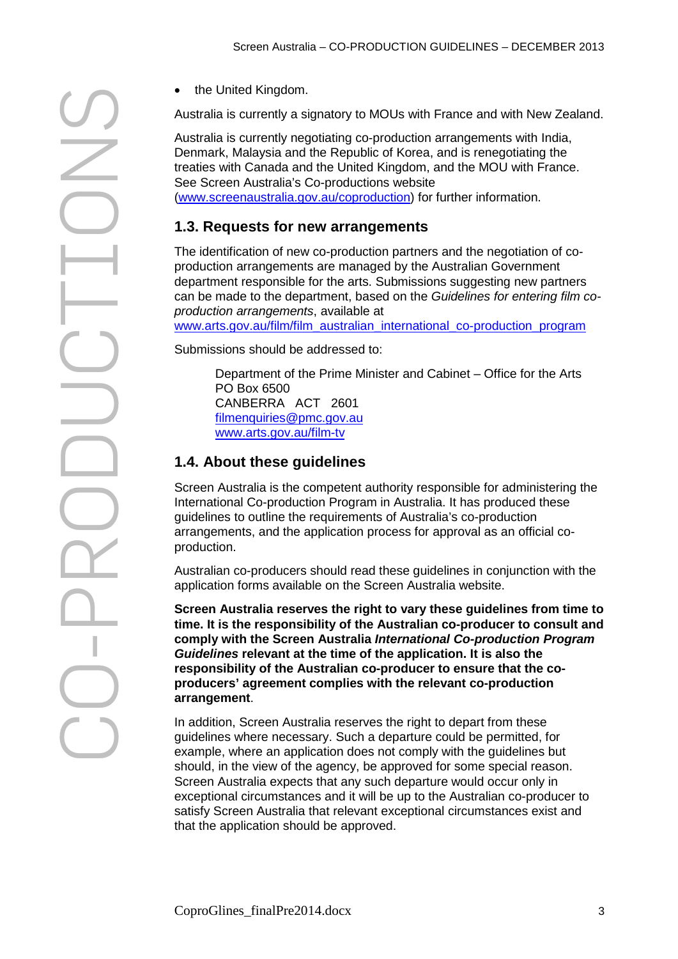Australia is currently a signatory to MOUs with France and with New Zealand.

Australia is currently negotiating co-production arrangements with India, Denmark, Malaysia and the Republic of Korea, and is renegotiating the treaties with Canada and the United Kingdom, and the MOU with France. See Screen Australia's Co-productions website [\(www.screenaustralia.gov.au/coproduction\)](http://www.screenaustralia.gov.au/coproductions) for further information.

# **1.3. Requests for new arrangements**

The identification of new co-production partners and the negotiation of coproduction arrangements are managed by the Australian Government department responsible for the arts. Submissions suggesting new partners can be made to the department, based on the *Guidelines for entering film coproduction arrangements*, available at [www.arts.gov.au/film/film\\_australian\\_international\\_co-production\\_program](http://www.arts.gov.au/film/film_australian_international_co-production_program)

Submissions should be addressed to:

Department of the Prime Minister and Cabinet – Office for the Arts PO Box 6500 CANBERRA ACT 2601 [filmenquiries@pmc.gov.au](mailto:filmenquiries@pmc.gov.au) [www.arts.gov.au/film-tv](http://www.arts.gov.au/film-tv)

# **1.4. About these guidelines**

Screen Australia is the competent authority responsible for administering the International Co-production Program in Australia. It has produced these guidelines to outline the requirements of Australia's co-production arrangements, and the application process for approval as an official coproduction.

Australian co-producers should read these guidelines in conjunction with the application forms available on the Screen Australia website.

**Screen Australia reserves the right to vary these guidelines from time to time. It is the responsibility of the Australian co-producer to consult and comply with the Screen Australia** *International Co-production Program Guidelines* **relevant at the time of the application. It is also the responsibility of the Australian co-producer to ensure that the coproducers' agreement complies with the relevant co-production arrangement**.

In addition, Screen Australia reserves the right to depart from these guidelines where necessary. Such a departure could be permitted, for example, where an application does not comply with the guidelines but should, in the view of the agency, be approved for some special reason. Screen Australia expects that any such departure would occur only in exceptional circumstances and it will be up to the Australian co-producer to satisfy Screen Australia that relevant exceptional circumstances exist and that the application should be approved.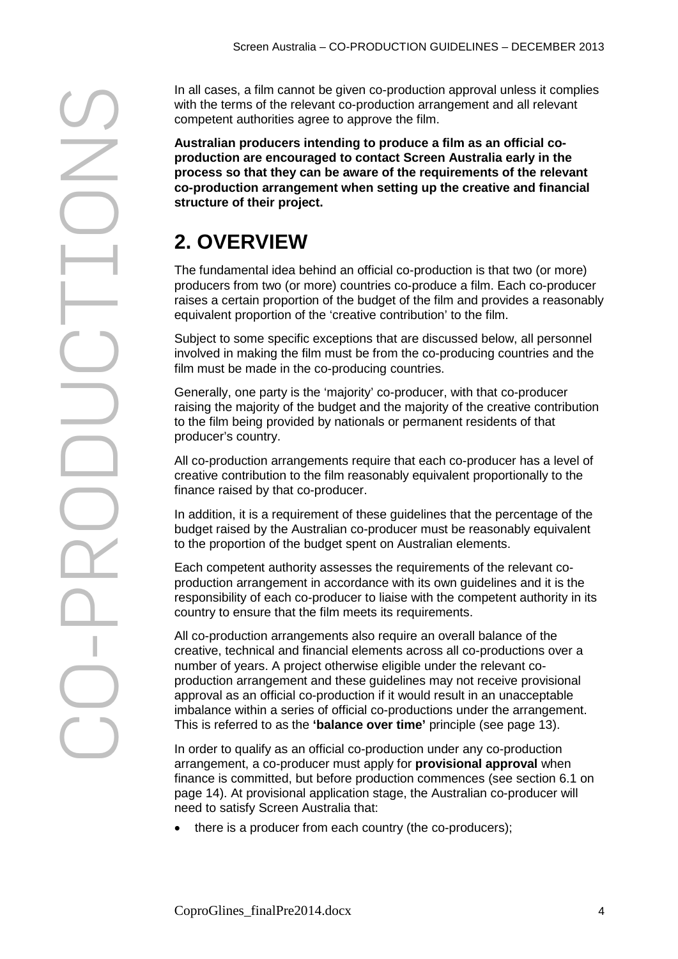CO Final cases, a film cannot be given co-production approximates are completed to the summation and the given the summation of the summation of the summation of the summation of the summation of the summation of the summati

with the terms of the relevant co-production arrangement and all relevant competent authorities agree to approve the film.

**Australian producers intending to produce a film as an official coproduction are encouraged to contact Screen Australia early in the process so that they can be aware of the requirements of the relevant co-production arrangement when setting up the creative and financial structure of their project.**

# **2. OVERVIEW**

The fundamental idea behind an official co-production is that two (or more) producers from two (or more) countries co-produce a film. Each co-producer raises a certain proportion of the budget of the film and provides a reasonably equivalent proportion of the 'creative contribution' to the film.

Subject to some specific exceptions that are discussed below, all personnel involved in making the film must be from the co-producing countries and the film must be made in the co-producing countries.

Generally, one party is the 'majority' co-producer, with that co-producer raising the majority of the budget and the majority of the creative contribution to the film being provided by nationals or permanent residents of that producer's country.

All co-production arrangements require that each co-producer has a level of creative contribution to the film reasonably equivalent proportionally to the finance raised by that co-producer.

In addition, it is a requirement of these guidelines that the percentage of the budget raised by the Australian co-producer must be reasonably equivalent to the proportion of the budget spent on Australian elements.

Each competent authority assesses the requirements of the relevant coproduction arrangement in accordance with its own guidelines and it is the responsibility of each co-producer to liaise with the competent authority in its country to ensure that the film meets its requirements.

All co-production arrangements also require an overall balance of the creative, technical and financial elements across all co-productions over a number of years. A project otherwise eligible under the relevant coproduction arrangement and these guidelines may not receive provisional approval as an official co-production if it would result in an unacceptable imbalance within a series of official co-productions under the arrangement. This is referred to as the **'balance over time'** principle (see page [13\)](#page-12-0).

In order to qualify as an official co-production under any co-production arrangement, a co-producer must apply for **provisional approval** when finance is committed, but before production commences (see section 6.1 on page [14\)](#page-13-0). At provisional application stage, the Australian co-producer will need to satisfy Screen Australia that:

• there is a producer from each country (the co-producers);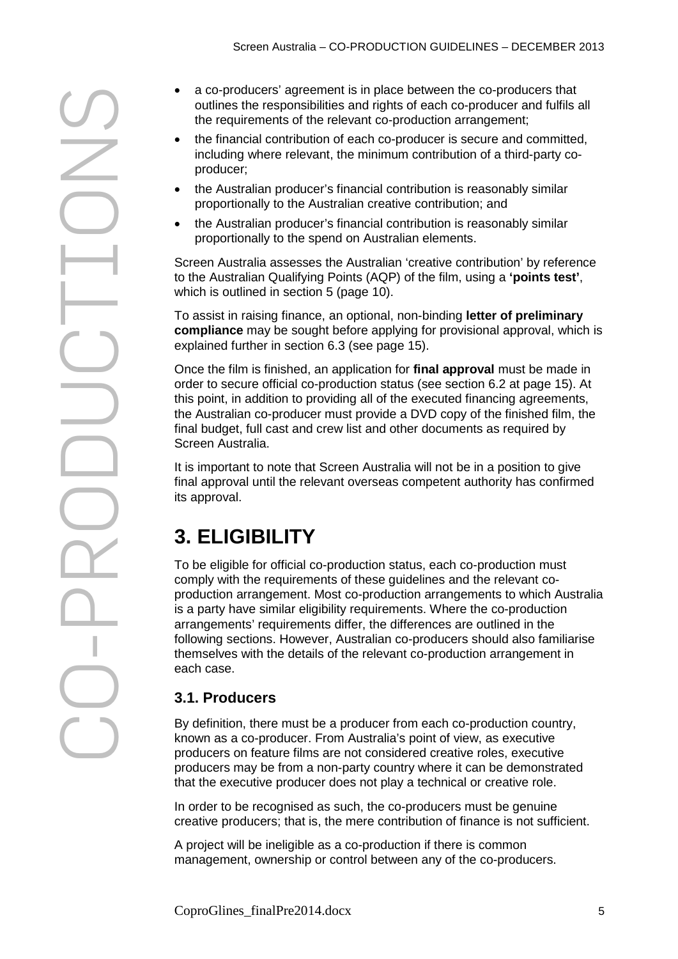CO

- outlines the responsibilities and rights of each co-producer and fulfils all the requirements of the relevant co-production arrangement;
- the financial contribution of each co-producer is secure and committed, including where relevant, the minimum contribution of a third-party coproducer;
- the Australian producer's financial contribution is reasonably similar proportionally to the Australian creative contribution; and
- the Australian producer's financial contribution is reasonably similar proportionally to the spend on Australian elements.

Screen Australia assesses the Australian 'creative contribution' by reference to the Australian Qualifying Points (AQP) of the film, using a **'points test'**, which is outlined in section 5 (page [10\)](#page-9-0).

To assist in raising finance, an optional, non-binding **letter of preliminary compliance** may be sought before applying for provisional approval, which is explained further in section 6.3 (see page [15\)](#page-14-0).

Once the film is finished, an application for **final approval** must be made in order to secure official co-production status (see section 6.2 at page [15\)](#page-14-1). At this point, in addition to providing all of the executed financing agreements, the Australian co-producer must provide a DVD copy of the finished film, the final budget, full cast and crew list and other documents as required by Screen Australia.

It is important to note that Screen Australia will not be in a position to give final approval until the relevant overseas competent authority has confirmed its approval.

# **3. ELIGIBILITY**

• a co-producers' agreement is in place between the co-producers' that is the fequirements of the relevant co-production arrangement:<br>
• the fielarcel control of each co-production arrangement is example to the fielarcel To be eligible for official co-production status, each co-production must comply with the requirements of these guidelines and the relevant coproduction arrangement. Most co-production arrangements to which Australia is a party have similar eligibility requirements. Where the co-production arrangements' requirements differ, the differences are outlined in the following sections. However, Australian co-producers should also familiarise themselves with the details of the relevant co-production arrangement in each case.

# **3.1. Producers**

By definition, there must be a producer from each co-production country, known as a co-producer. From Australia's point of view, as executive producers on feature films are not considered creative roles, executive producers may be from a non-party country where it can be demonstrated that the executive producer does not play a technical or creative role.

In order to be recognised as such, the co-producers must be genuine creative producers; that is, the mere contribution of finance is not sufficient.

A project will be ineligible as a co-production if there is common management, ownership or control between any of the co-producers.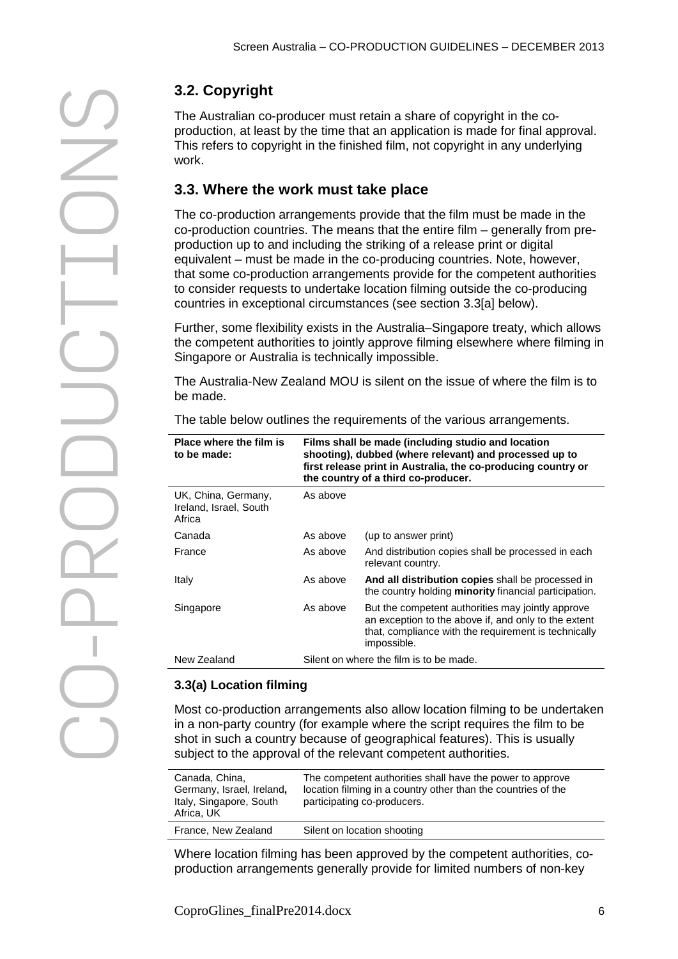# CO 3.2. Copyright<br>
The Australian co<br>
production, at leas<br>
This refers to copy<br>
work.<br>
3.3. Where the<br>
The co-production cours<br>
co-production up to a<br>
equivalent – must<br>
that some co-production<br>
to consider requee<br>
countries

The Australian co-producer must retain a share of copyright in the coproduction, at least by the time that an application is made for final approval. This refers to copyright in the finished film, not copyright in any underlying work.

# **3.3. Where the work must take place**

The co-production arrangements provide that the film must be made in the co-production countries. The means that the entire film – generally from preproduction up to and including the striking of a release print or digital equivalent – must be made in the co-producing countries. Note, however, that some co-production arrangements provide for the competent authorities to consider requests to undertake location filming outside the co-producing countries in exceptional circumstances (see section 3.3[a] below).

Further, some flexibility exists in the Australia–Singapore treaty, which allows the competent authorities to jointly approve filming elsewhere where filming in Singapore or Australia is technically impossible.

The Australia-New Zealand MOU is silent on the issue of where the film is to be made.

The table below outlines the requirements of the various arrangements.

| Place where the film is<br>to be made:                  | Films shall be made (including studio and location<br>shooting), dubbed (where relevant) and processed up to<br>first release print in Australia, the co-producing country or<br>the country of a third co-producer. |                                                                                                                                                                                  |
|---------------------------------------------------------|----------------------------------------------------------------------------------------------------------------------------------------------------------------------------------------------------------------------|----------------------------------------------------------------------------------------------------------------------------------------------------------------------------------|
| UK, China, Germany,<br>Ireland, Israel, South<br>Africa | As above                                                                                                                                                                                                             |                                                                                                                                                                                  |
| Canada                                                  | As above                                                                                                                                                                                                             | (up to answer print)                                                                                                                                                             |
| France                                                  | As above                                                                                                                                                                                                             | And distribution copies shall be processed in each<br>relevant country.                                                                                                          |
| Italy                                                   | As above                                                                                                                                                                                                             | And all distribution copies shall be processed in<br>the country holding minority financial participation.                                                                       |
| Singapore                                               | As above                                                                                                                                                                                                             | But the competent authorities may jointly approve<br>an exception to the above if, and only to the extent<br>that, compliance with the requirement is technically<br>impossible. |
| New Zealand                                             |                                                                                                                                                                                                                      | Silent on where the film is to be made.                                                                                                                                          |

# **3.3(a) Location filming**

Most co-production arrangements also allow location filming to be undertaken in a non-party country (for example where the script requires the film to be shot in such a country because of geographical features). This is usually subiect to the approval of the relevant competent authorities.

| Canada, China,<br>Germany, Israel, Ireland,<br>Italy, Singapore, South<br>Africa, UK | The competent authorities shall have the power to approve<br>location filming in a country other than the countries of the<br>participating co-producers. |
|--------------------------------------------------------------------------------------|-----------------------------------------------------------------------------------------------------------------------------------------------------------|
| France, New Zealand                                                                  | Silent on location shooting                                                                                                                               |

Where location filming has been approved by the competent authorities, coproduction arrangements generally provide for limited numbers of non-key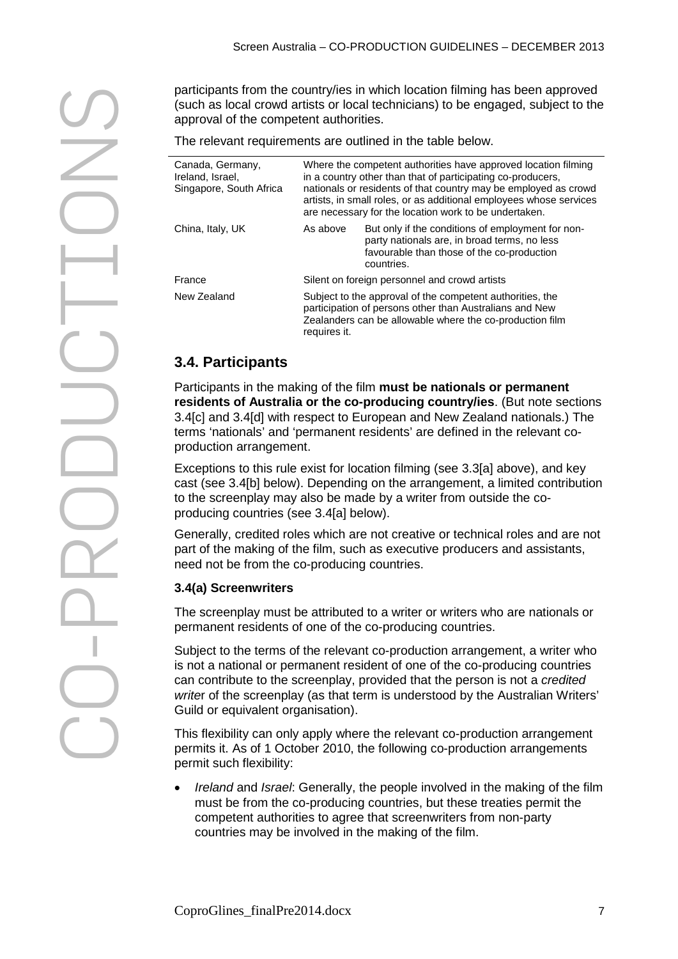(such as local crowd artists or local technicians) to be engaged, subject to the approval of the competent authorities.

| participants from the country/ies in which location filming has been approved<br>(such as local crowd artists or local technicians) to be engaged, subject to the<br>approval of the competent authorities. |                                                                                                                                                                                                                                                                                                                                 |                                                                                                                                                                                                                                                                                                                  |  |
|-------------------------------------------------------------------------------------------------------------------------------------------------------------------------------------------------------------|---------------------------------------------------------------------------------------------------------------------------------------------------------------------------------------------------------------------------------------------------------------------------------------------------------------------------------|------------------------------------------------------------------------------------------------------------------------------------------------------------------------------------------------------------------------------------------------------------------------------------------------------------------|--|
|                                                                                                                                                                                                             |                                                                                                                                                                                                                                                                                                                                 | The relevant requirements are outlined in the table below.                                                                                                                                                                                                                                                       |  |
| Canada, Germany,<br>Ireland, Israel,<br>Singapore, South Africa                                                                                                                                             | Where the competent authorities have approved location filming<br>in a country other than that of participating co-producers,<br>nationals or residents of that country may be employed as crowd<br>artists, in small roles, or as additional employees whose services<br>are necessary for the location work to be undertaken. |                                                                                                                                                                                                                                                                                                                  |  |
| China, Italy, UK                                                                                                                                                                                            | As above                                                                                                                                                                                                                                                                                                                        | But only if the conditions of employment for non-<br>party nationals are, in broad terms, no less<br>favourable than those of the co-production<br>countries.                                                                                                                                                    |  |
| France                                                                                                                                                                                                      |                                                                                                                                                                                                                                                                                                                                 | Silent on foreign personnel and crowd artists                                                                                                                                                                                                                                                                    |  |
| New Zealand                                                                                                                                                                                                 | requires it.                                                                                                                                                                                                                                                                                                                    | Subject to the approval of the competent authorities, the<br>participation of persons other than Australians and New<br>Zealanders can be allowable where the co-production film                                                                                                                                 |  |
| 3.4. Participants                                                                                                                                                                                           |                                                                                                                                                                                                                                                                                                                                 |                                                                                                                                                                                                                                                                                                                  |  |
| production arrangement.                                                                                                                                                                                     |                                                                                                                                                                                                                                                                                                                                 | Participants in the making of the film must be nationals or permanent<br>residents of Australia or the co-producing country/ies. (But note sections<br>3.4[c] and 3.4[d] with respect to European and New Zealand nationals.) The<br>terms 'nationals' and 'permanent residents' are defined in the relevant co- |  |
| producing countries (see 3.4[a] below).                                                                                                                                                                     |                                                                                                                                                                                                                                                                                                                                 | Exceptions to this rule exist for location filming (see 3.3[a] above), and key<br>cast (see 3.4[b] below). Depending on the arrangement, a limited contributior<br>to the screenplay may also be made by a writer from outside the co-                                                                           |  |
| need not be from the co-producing countries.                                                                                                                                                                |                                                                                                                                                                                                                                                                                                                                 | Generally, credited roles which are not creative or technical roles and are not<br>part of the making of the film, such as executive producers and assistants,                                                                                                                                                   |  |
| 3.4(a) Screenwriters                                                                                                                                                                                        |                                                                                                                                                                                                                                                                                                                                 |                                                                                                                                                                                                                                                                                                                  |  |
|                                                                                                                                                                                                             |                                                                                                                                                                                                                                                                                                                                 | The screenplay must be attributed to a writer or writers who are nationals or<br>permanent residents of one of the co-producing countries.                                                                                                                                                                       |  |
|                                                                                                                                                                                                             |                                                                                                                                                                                                                                                                                                                                 | Subject to the terms of the relevant co-production arrangement, a writer who                                                                                                                                                                                                                                     |  |

# **3.4. Participants**

# **3.4(a) Screenwriters**

Subject to the terms of the relevant co-production arrangement, a writer who is not a national or permanent resident of one of the co-producing countries can contribute to the screenplay, provided that the person is not a *credited write*r of the screenplay (as that term is understood by the Australian Writers' Guild or equivalent organisation).

This flexibility can only apply where the relevant co-production arrangement permits it. As of 1 October 2010, the following co-production arrangements permit such flexibility:

• *Ireland* and *Israel*: Generally, the people involved in the making of the film must be from the co-producing countries, but these treaties permit the competent authorities to agree that screenwriters from non-party countries may be involved in the making of the film.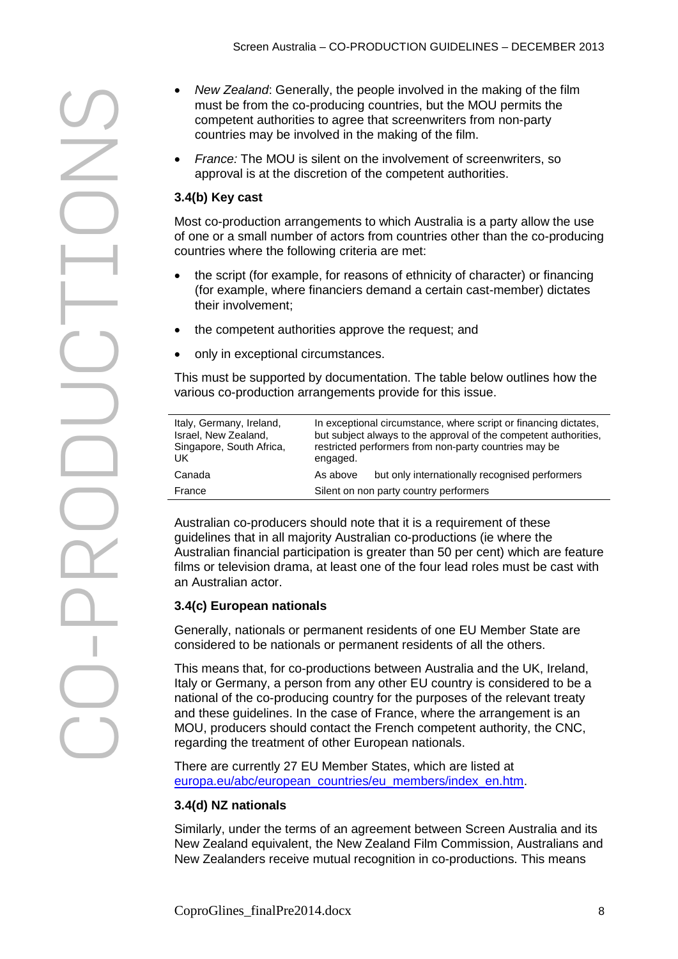CO From the people involved in the making of the film<br>countries any be involved in the making of the film.<br>contries may be involved in the making of the film.<br>France: The MOU is silent on the involvement of screenwitters, so<br>

- must be from the co-producing countries, but the MOU permits the competent authorities to agree that screenwriters from non-party countries may be involved in the making of the film.
- *France:* The MOU is silent on the involvement of screenwriters, so approval is at the discretion of the competent authorities.

# **3.4(b) Key cast**

Most co-production arrangements to which Australia is a party allow the use of one or a small number of actors from countries other than the co-producing countries where the following criteria are met:

- the script (for example, for reasons of ethnicity of character) or financing (for example, where financiers demand a certain cast-member) dictates their involvement;
- the competent authorities approve the request; and
- only in exceptional circumstances.

This must be supported by documentation. The table below outlines how the various co-production arrangements provide for this issue.

| Italy, Germany, Ireland,<br>Israel, New Zealand,<br>Singapore, South Africa,<br>UK. | engaged. | In exceptional circumstance, where script or financing dictates,<br>but subject always to the approval of the competent authorities.<br>restricted performers from non-party countries may be |
|-------------------------------------------------------------------------------------|----------|-----------------------------------------------------------------------------------------------------------------------------------------------------------------------------------------------|
| Canada                                                                              | As above | but only internationally recognised performers                                                                                                                                                |
| France                                                                              |          | Silent on non party country performers                                                                                                                                                        |

Australian co-producers should note that it is a requirement of these guidelines that in all majority Australian co-productions (ie where the Australian financial participation is greater than 50 per cent) which are feature films or television drama, at least one of the four lead roles must be cast with an Australian actor.

# **3.4(c) European nationals**

Generally, nationals or permanent residents of one EU Member State are considered to be nationals or permanent residents of all the others.

This means that, for co-productions between Australia and the UK, Ireland, Italy or Germany, a person from any other EU country is considered to be a national of the co-producing country for the purposes of the relevant treaty and these guidelines. In the case of France, where the arrangement is an MOU, producers should contact the French competent authority, the CNC, regarding the treatment of other European nationals.

There are currently 27 EU Member States, which are listed at [europa.eu/abc/european\\_countries/eu\\_members/index\\_en.htm.](http://europa.eu/abc/european_countries/eu_members/index_en.htm)

# **3.4(d) NZ nationals**

Similarly, under the terms of an agreement between Screen Australia and its New Zealand equivalent, the New Zealand Film Commission, Australians and New Zealanders receive mutual recognition in co-productions. This means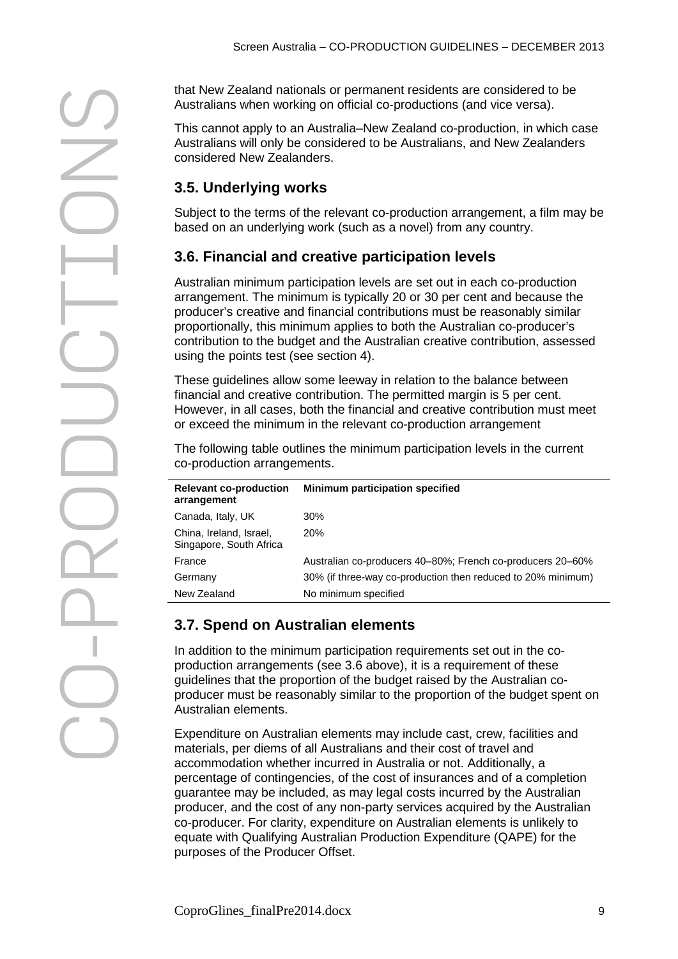Australians when working on official co-productions (and vice versa). This cannot apply to an Australia–New Zealand co-production, in which case Australians will only be considered to be Australians, and New Zealanders considered New Zealanders. **3.5. Underlying works**

# **3.6. Financial and creative participation levels**

|                                                    | that New Zealand nationals or permanent residents are considered to be<br>Australians when working on official co-productions (and vice versa).                                                                                                                                                                                                                                                  |
|----------------------------------------------------|--------------------------------------------------------------------------------------------------------------------------------------------------------------------------------------------------------------------------------------------------------------------------------------------------------------------------------------------------------------------------------------------------|
| considered New Zealanders.                         | This cannot apply to an Australia–New Zealand co-production, in which case<br>Australians will only be considered to be Australians, and New Zealanders                                                                                                                                                                                                                                          |
| 3.5. Underlying works                              |                                                                                                                                                                                                                                                                                                                                                                                                  |
|                                                    | Subject to the terms of the relevant co-production arrangement, a film may be<br>based on an underlying work (such as a novel) from any country.                                                                                                                                                                                                                                                 |
|                                                    | 3.6. Financial and creative participation levels                                                                                                                                                                                                                                                                                                                                                 |
| using the points test (see section 4).             | Australian minimum participation levels are set out in each co-production<br>arrangement. The minimum is typically 20 or 30 per cent and because the<br>producer's creative and financial contributions must be reasonably similar<br>proportionally, this minimum applies to both the Australian co-producer's<br>contribution to the budget and the Australian creative contribution, assessed |
|                                                    | These guidelines allow some leeway in relation to the balance between<br>financial and creative contribution. The permitted margin is 5 per cent.<br>However, in all cases, both the financial and creative contribution must meet<br>or exceed the minimum in the relevant co-production arrangement                                                                                            |
| co-production arrangements.                        | The following table outlines the minimum participation levels in the current                                                                                                                                                                                                                                                                                                                     |
| <b>Relevant co-production</b><br>arrangement       | Minimum participation specified                                                                                                                                                                                                                                                                                                                                                                  |
| Canada, Italy, UK                                  | 30%                                                                                                                                                                                                                                                                                                                                                                                              |
| China, Ireland, Israel,<br>Singapore, South Africa | 20%                                                                                                                                                                                                                                                                                                                                                                                              |
| France                                             | Australian co-producers 40-80%; French co-producers 20-60%                                                                                                                                                                                                                                                                                                                                       |
| Germany                                            | 30% (if three-way co-production then reduced to 20% minimum)                                                                                                                                                                                                                                                                                                                                     |
| New Zealand                                        | No minimum specified                                                                                                                                                                                                                                                                                                                                                                             |
| 3.7. Spend on Australian elements                  |                                                                                                                                                                                                                                                                                                                                                                                                  |
|                                                    | In addition to the minimum participation requirements set out in the co-                                                                                                                                                                                                                                                                                                                         |

# **3.7. Spend on Australian elements**

In addition to the minimum participation requirements set out in the coproduction arrangements (see 3.6 above), it is a requirement of these guidelines that the proportion of the budget raised by the Australian coproducer must be reasonably similar to the proportion of the budget spent on Australian elements.

Expenditure on Australian elements may include cast, crew, facilities and materials, per diems of all Australians and their cost of travel and accommodation whether incurred in Australia or not. Additionally, a percentage of contingencies, of the cost of insurances and of a completion guarantee may be included, as may legal costs incurred by the Australian producer, and the cost of any non-party services acquired by the Australian co-producer. For clarity, expenditure on Australian elements is unlikely to equate with Qualifying Australian Production Expenditure (QAPE) for the purposes of the Producer Offset.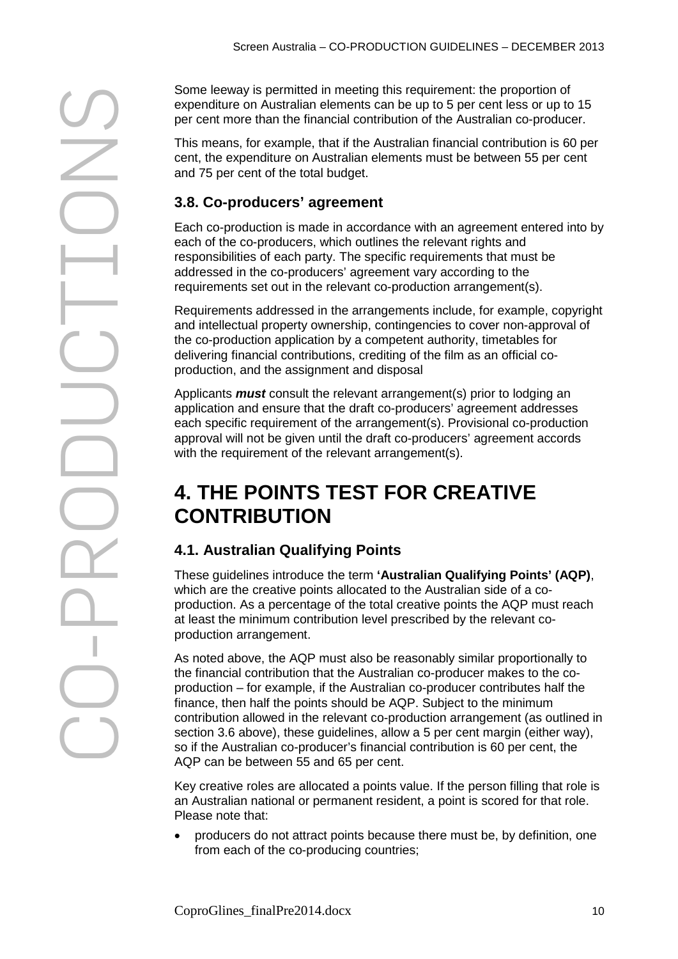From levay is permitted in meeting this requirement the proportion of<br>the requirements are the proportion of the Australian co-production of<br>the react more than the financial contribution of the Australian co-production.<br>T expenditure on Australian elements can be up to 5 per cent less or up to 15 per cent more than the financial contribution of the Australian co-producer. This means, for example, that if the Australian financial contribution is 60 per cent, the expenditure on Australian elements must be between 55 per cent and 75 per cent of the total budget. **3.8. Co-producers' agreement** Each co-production is made in accordance with an agreement entered into by each of the co-producers, which outlines the relevant rights and responsibilities of each party. The specific requirements that must be addressed in the co-producers' agreement vary according to the requirements set out in the relevant co-production arrangement(s). Requirements addressed in the arrangements include, for example, copyright and intellectual property ownership, contingencies to cover non-approval of the co-production application by a competent authority, timetables for delivering financial contributions, crediting of the film as an official coproduction, and the assignment and disposal

Applicants *must* consult the relevant arrangement(s) prior to lodging an application and ensure that the draft co-producers' agreement addresses each specific requirement of the arrangement(s). Provisional co-production approval will not be given until the draft co-producers' agreement accords with the requirement of the relevant arrangement(s).

# <span id="page-9-0"></span>**4. THE POINTS TEST FOR CREATIVE CONTRIBUTION**

# **4.1. Australian Qualifying Points**

These guidelines introduce the term **'Australian Qualifying Points' (AQP)**, which are the creative points allocated to the Australian side of a coproduction. As a percentage of the total creative points the AQP must reach at least the minimum contribution level prescribed by the relevant coproduction arrangement.

As noted above, the AQP must also be reasonably similar proportionally to the financial contribution that the Australian co-producer makes to the coproduction – for example, if the Australian co-producer contributes half the finance, then half the points should be AQP. Subject to the minimum contribution allowed in the relevant co-production arrangement (as outlined in section 3.6 above), these quidelines, allow a 5 per cent margin (either way), so if the Australian co-producer's financial contribution is 60 per cent, the AQP can be between 55 and 65 per cent.

Key creative roles are allocated a points value. If the person filling that role is an Australian national or permanent resident, a point is scored for that role. Please note that:

• producers do not attract points because there must be, by definition, one from each of the co-producing countries;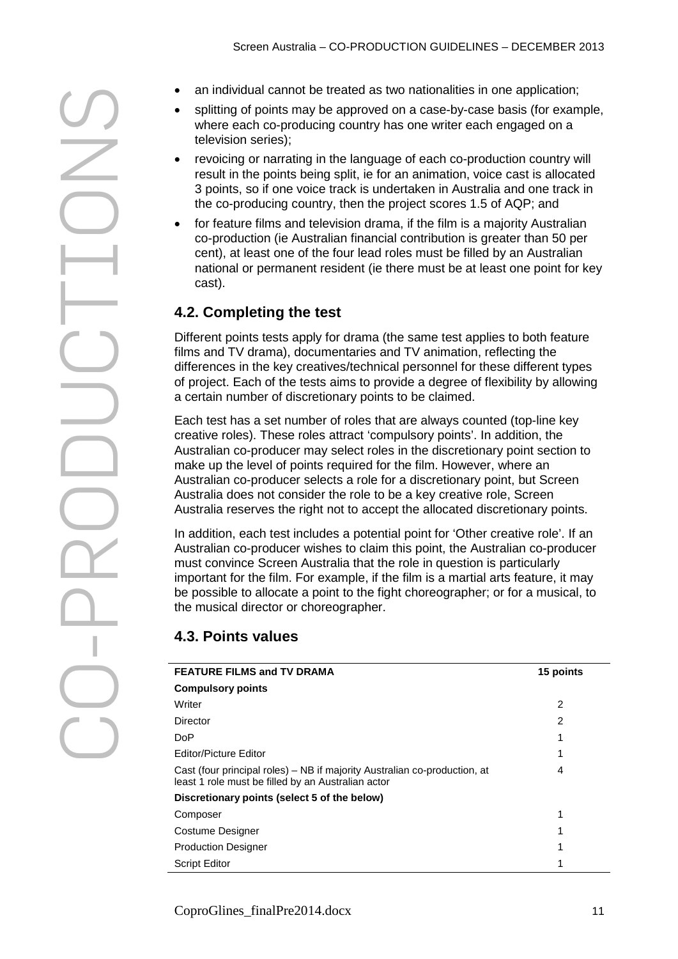- 
- splitting of points may be approved on a case-by-case basis (for example, where each co-producing country has one writer each engaged on a television series);
- revoicing or narrating in the language of each co-production country will result in the points being split, ie for an animation, voice cast is allocated 3 points, so if one voice track is undertaken in Australia and one track in the co-producing country, then the project scores 1.5 of AQP; and
- for feature films and television drama, if the film is a majority Australian co-production (ie Australian financial contribution is greater than 50 per cent), at least one of the four lead roles must be filled by an Australian national or permanent resident (ie there must be at least one point for key cast).

# **4.2. Completing the test**

Different points tests apply for drama (the same test applies to both feature films and TV drama), documentaries and TV animation, reflecting the differences in the key creatives/technical personnel for these different types of project. Each of the tests aims to provide a degree of flexibility by allowing a certain number of discretionary points to be claimed.

**Example thing the tend of the train in the flower business in the space of the system and control of the system and the treation series).**<br> **Example a proportion** contribute the points being spill, it is for an animinati Each test has a set number of roles that are always counted (top-line key creative roles). These roles attract 'compulsory points'. In addition, the Australian co-producer may select roles in the discretionary point section to make up the level of points required for the film. However, where an Australian co-producer selects a role for a discretionary point, but Screen Australia does not consider the role to be a key creative role, Screen Australia reserves the right not to accept the allocated discretionary points.

In addition, each test includes a potential point for 'Other creative role'. If an Australian co-producer wishes to claim this point, the Australian co-producer must convince Screen Australia that the role in question is particularly important for the film. For example, if the film is a martial arts feature, it may be possible to allocate a point to the fight choreographer; or for a musical, to the musical director or choreographer.

# **4.3. Points values**

| <b>FEATURE FILMS and TV DRAMA</b>                                                                                               | 15 points      |
|---------------------------------------------------------------------------------------------------------------------------------|----------------|
| <b>Compulsory points</b>                                                                                                        |                |
| Writer                                                                                                                          | 2              |
| Director                                                                                                                        | $\overline{2}$ |
| <b>DoP</b>                                                                                                                      | 1              |
| <b>Editor/Picture Editor</b>                                                                                                    | 1              |
| Cast (four principal roles) – NB if majority Australian co-production, at<br>least 1 role must be filled by an Australian actor | 4              |
| Discretionary points (select 5 of the below)                                                                                    |                |
| Composer                                                                                                                        | 1              |
| Costume Designer                                                                                                                |                |
| <b>Production Designer</b>                                                                                                      | 1              |
| <b>Script Editor</b>                                                                                                            |                |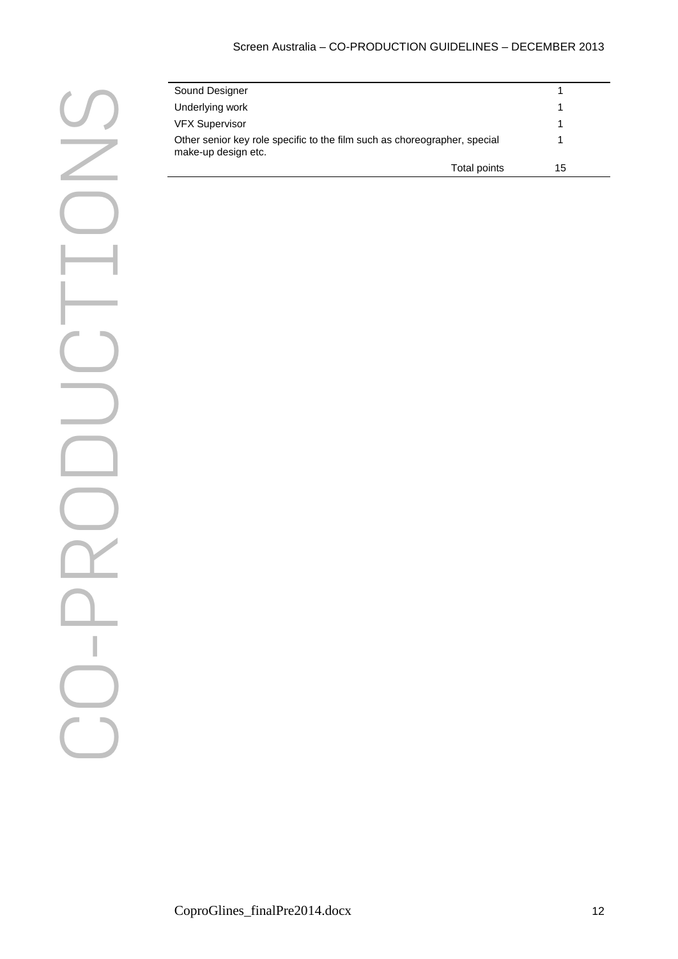| Sound Designer                                                                                   |    |  |
|--------------------------------------------------------------------------------------------------|----|--|
| Underlying work                                                                                  |    |  |
| <b>VFX Supervisor</b>                                                                            |    |  |
| Other senior key role specific to the film such as choreographer, special<br>make-up design etc. |    |  |
| Total points                                                                                     | 15 |  |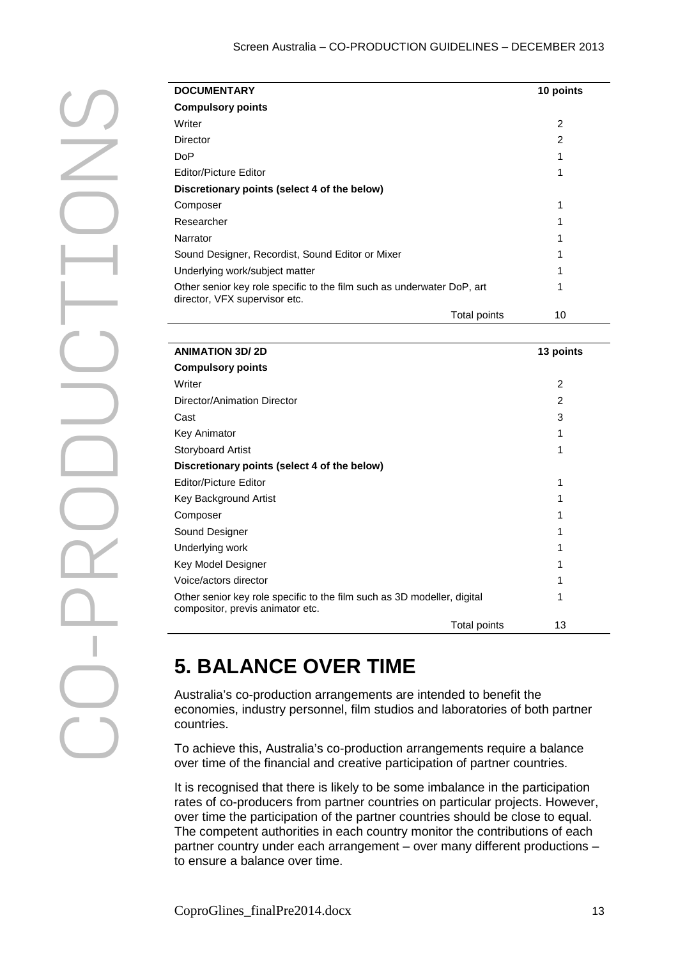| <b>DOCUMENTARY</b>                                                                                      |              | 10 points |
|---------------------------------------------------------------------------------------------------------|--------------|-----------|
| <b>Compulsory points</b>                                                                                |              |           |
| Writer                                                                                                  |              | 2         |
| Director                                                                                                |              | 2         |
| DoP                                                                                                     |              | 1         |
| Editor/Picture Editor                                                                                   |              | 1         |
| Discretionary points (select 4 of the below)                                                            |              |           |
| Composer                                                                                                |              | 1         |
| Researcher                                                                                              |              | 1         |
| Narrator                                                                                                |              | 1         |
| Sound Designer, Recordist, Sound Editor or Mixer                                                        |              | 1         |
| Underlying work/subject matter                                                                          |              | 1         |
| Other senior key role specific to the film such as underwater DoP, art<br>director, VFX supervisor etc. |              | 1         |
|                                                                                                         | Total points | 10        |

| <b>DOCUMENTARY</b>                                                                                          | 10 points      |
|-------------------------------------------------------------------------------------------------------------|----------------|
| <b>Compulsory points</b>                                                                                    |                |
| Writer                                                                                                      | $\overline{c}$ |
| <b>Director</b>                                                                                             | $\overline{c}$ |
| <b>DoP</b>                                                                                                  | 1              |
| Editor/Picture Editor                                                                                       | 1              |
| Discretionary points (select 4 of the below)                                                                |                |
| Composer                                                                                                    | 1              |
| Researcher                                                                                                  | 1              |
| Narrator                                                                                                    | 1              |
| Sound Designer, Recordist, Sound Editor or Mixer                                                            | 1              |
| Underlying work/subject matter                                                                              | 1              |
| Other senior key role specific to the film such as underwater DoP, art<br>director, VFX supervisor etc.     | 1              |
| Total points                                                                                                | 10             |
|                                                                                                             |                |
| <b>ANIMATION 3D/2D</b>                                                                                      | 13 points      |
| <b>Compulsory points</b>                                                                                    |                |
| Writer                                                                                                      | $\overline{2}$ |
| Director/Animation Director                                                                                 | $\overline{2}$ |
| Cast                                                                                                        | 3              |
| Key Animator                                                                                                | 1              |
| <b>Storyboard Artist</b>                                                                                    | 1              |
| Discretionary points (select 4 of the below)                                                                |                |
| <b>Editor/Picture Editor</b>                                                                                | 1              |
| Key Background Artist                                                                                       | 1              |
| Composer                                                                                                    | 1              |
| Sound Designer                                                                                              | 1              |
| Underlying work                                                                                             | 1              |
|                                                                                                             | 1              |
| Key Model Designer                                                                                          |                |
| Voice/actors director                                                                                       | 1              |
| Other senior key role specific to the film such as 3D modeller, digital<br>compositor, previs animator etc. | 1              |

# <span id="page-12-0"></span>**5. BALANCE OVER TIME**

Australia's co-production arrangements are intended to benefit the economies, industry personnel, film studios and laboratories of both partner countries.

To achieve this, Australia's co-production arrangements require a balance over time of the financial and creative participation of partner countries.

It is recognised that there is likely to be some imbalance in the participation rates of co-producers from partner countries on particular projects. However, over time the participation of the partner countries should be close to equal. The competent authorities in each country monitor the contributions of each partner country under each arrangement – over many different productions – to ensure a balance over time.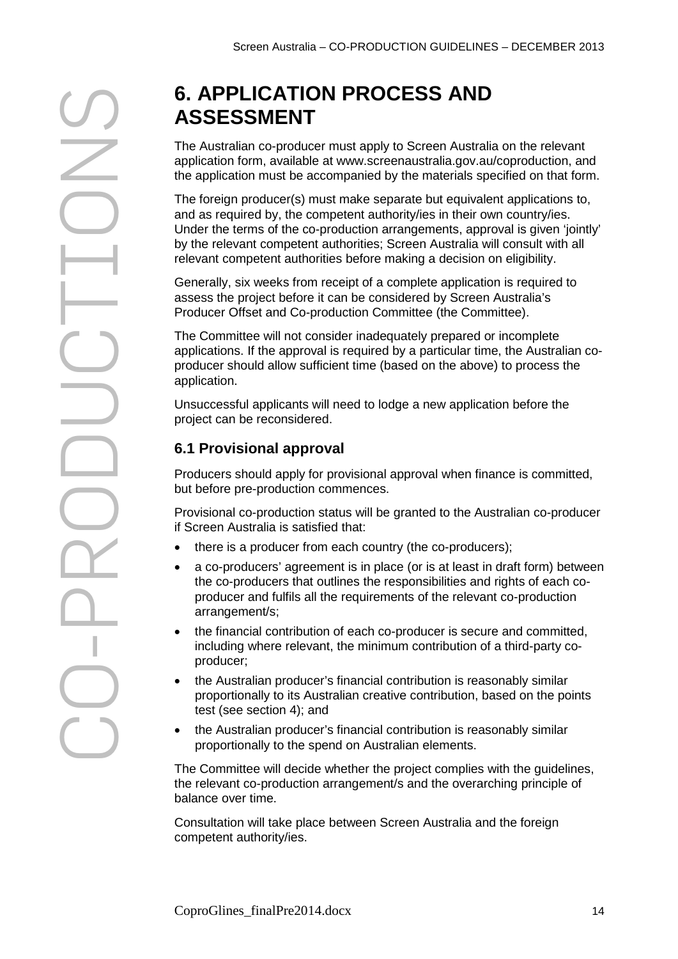# **ASSESSMENT**

The Australian co-producer must apply to Screen Australia on the relevant application form, available at www.screenaustralia.gov.au/coproduction, and the application must be accompanied by the materials specified on that form.

The foreign producer(s) must make separate but equivalent applications to, and as required by, the competent authority/ies in their own country/ies. Under the terms of the co-production arrangements, approval is given 'jointly' by the relevant competent authorities; Screen Australia will consult with all relevant competent authorities before making a decision on eligibility.

Generally, six weeks from receipt of a complete application is required to assess the project before it can be considered by Screen Australia's Producer Offset and Co-production Committee (the Committee).

The Committee will not consider inadequately prepared or incomplete applications. If the approval is required by a particular time, the Australian coproducer should allow sufficient time (based on the above) to process the application.

Unsuccessful applicants will need to lodge a new application before the project can be reconsidered.

# <span id="page-13-0"></span>**6.1 Provisional approval**

Producers should apply for provisional approval when finance is committed, but before pre-production commences.

Provisional co-production status will be granted to the Australian co-producer if Screen Australia is satisfied that:

- there is a producer from each country (the co-producers);
- a co-producers' agreement is in place (or is at least in draft form) between the co-producers that outlines the responsibilities and rights of each coproducer and fulfils all the requirements of the relevant co-production arrangement/s;
- the financial contribution of each co-producer is secure and committed, including where relevant, the minimum contribution of a third-party coproducer;
- the Australian producer's financial contribution is reasonably similar proportionally to its Australian creative contribution, based on the points test (see section 4); and
- the Australian producer's financial contribution is reasonably similar proportionally to the spend on Australian elements.

The Committee will decide whether the project complies with the guidelines, the relevant co-production arrangement/s and the overarching principle of balance over time.

Consultation will take place between Screen Australia and the foreign competent authority/ies.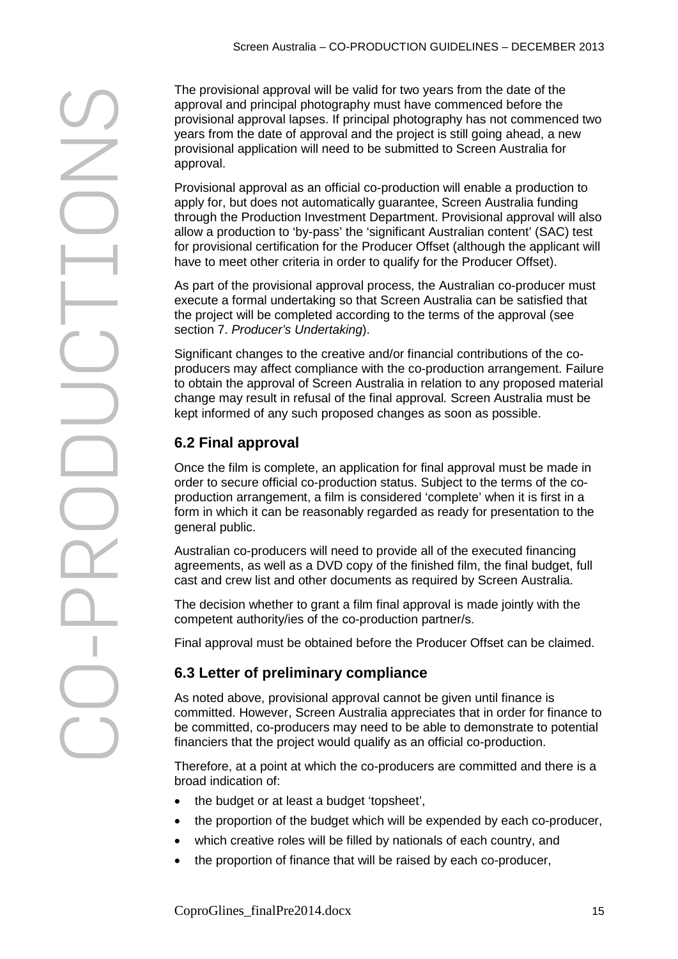CO The provisional approval will be valid for two years from the date of the presentation approval and the propriation will need to be submitted to Screen Australia for provisional approval lange will need to be submitted to

approval and principal photography must have commenced before the provisional approval lapses. If principal photography has not commenced two years from the date of approval and the project is still going ahead, a new provisional application will need to be submitted to Screen Australia for approval.

Provisional approval as an official co-production will enable a production to apply for, but does not automatically guarantee, Screen Australia funding through the Production Investment Department. Provisional approval will also allow a production to 'by-pass' the 'significant Australian content' (SAC) test for provisional certification for the Producer Offset (although the applicant will have to meet other criteria in order to qualify for the Producer Offset).

As part of the provisional approval process, the Australian co-producer must execute a formal undertaking so that Screen Australia can be satisfied that the project will be completed according to the terms of the approval (see section 7. *Producer's Undertaking*).

Significant changes to the creative and/or financial contributions of the coproducers may affect compliance with the co-production arrangement. Failure to obtain the approval of Screen Australia in relation to any proposed material change may result in refusal of the final approval*.* Screen Australia must be kept informed of any such proposed changes as soon as possible.

# <span id="page-14-1"></span>**6.2 Final approval**

Once the film is complete, an application for final approval must be made in order to secure official co-production status. Subject to the terms of the coproduction arrangement, a film is considered 'complete' when it is first in a form in which it can be reasonably regarded as ready for presentation to the general public.

Australian co-producers will need to provide all of the executed financing agreements, as well as a DVD copy of the finished film, the final budget, full cast and crew list and other documents as required by Screen Australia.

The decision whether to grant a film final approval is made jointly with the competent authority/ies of the co-production partner/s.

<span id="page-14-0"></span>Final approval must be obtained before the Producer Offset can be claimed.

# **6.3 Letter of preliminary compliance**

As noted above, provisional approval cannot be given until finance is committed. However, Screen Australia appreciates that in order for finance to be committed, co-producers may need to be able to demonstrate to potential financiers that the project would qualify as an official co-production.

Therefore, at a point at which the co-producers are committed and there is a broad indication of:

- the budget or at least a budget 'topsheet',
- the proportion of the budget which will be expended by each co-producer,
- which creative roles will be filled by nationals of each country, and
- the proportion of finance that will be raised by each co-producer,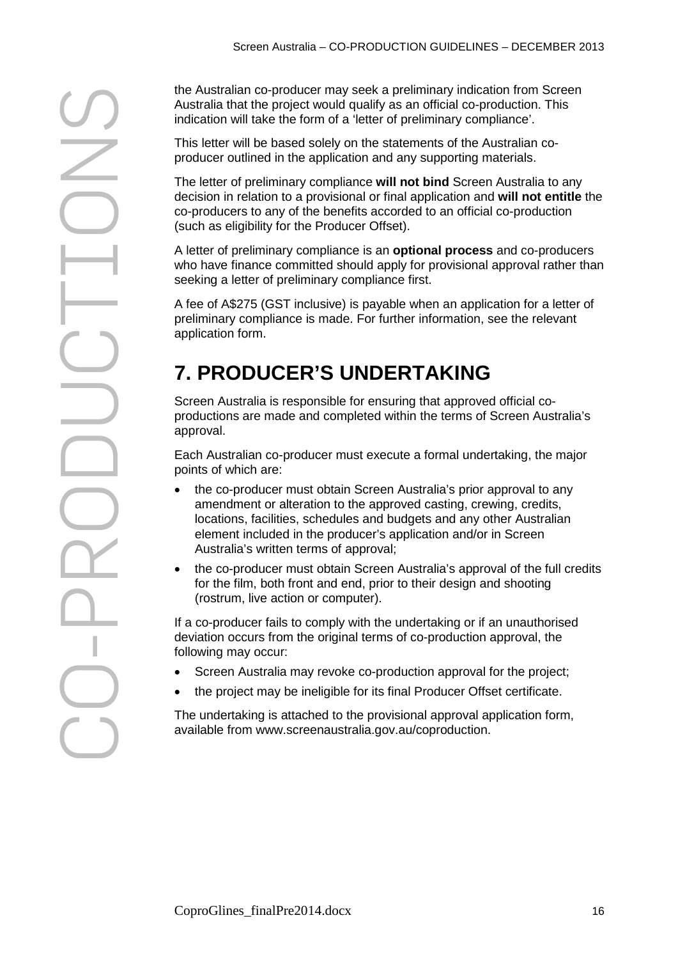Australia that the project would qualify as an official co-production. This indication will take the form of a 'letter of preliminary compliance'.

This letter will be based solely on the statements of the Australian coproducer outlined in the application and any supporting materials.

The letter of preliminary compliance **will not bind** Screen Australia to any decision in relation to a provisional or final application and **will not entitle** the co-producers to any of the benefits accorded to an official co-production (such as eligibility for the Producer Offset).

A letter of preliminary compliance is an **optional process** and co-producers who have finance committed should apply for provisional approval rather than seeking a letter of preliminary compliance first.

A fee of A\$275 (GST inclusive) is payable when an application for a letter of preliminary compliance is made. For further information, see the relevant application form.

# **7. PRODUCER'S UNDERTAKING**

Screen Australia is responsible for ensuring that approved official coproductions are made and completed within the terms of Screen Australia's approval.

Each Australian co-producer must execute a formal undertaking, the major points of which are:

- the co-producer must obtain Screen Australia's prior approval to any amendment or alteration to the approved casting, crewing, credits, locations, facilities, schedules and budgets and any other Australian element included in the producer's application and/or in Screen Australia's written terms of approval;
- the co-producer must obtain Screen Australia's approval of the full credits for the film, both front and end, prior to their design and shooting (rostrum, live action or computer).

If a co-producer fails to comply with the undertaking or if an unauthorised deviation occurs from the original terms of co-production approval, the following may occur:

- Screen Australia may revoke co-production approval for the project;
- the project may be ineligible for its final Producer Offset certificate.

The undertaking is attached to the provisional approval application form, available from www.screenaustralia.gov.au/coproduction.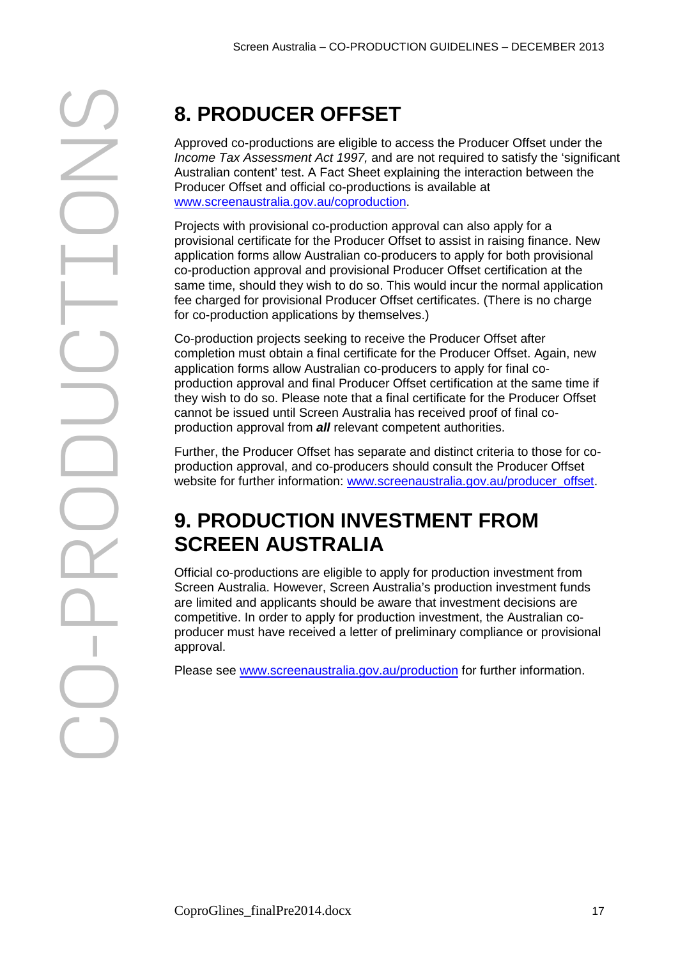Approved co-productions are eligible to access the Producer Offset under the *Income Tax Assessment Act 1997,* and are not required to satisfy the 'significant Australian content' test. A Fact Sheet explaining the interaction between the Producer Offset and official co-productions is available at www.screenaustralia.gov.au/coproduction.

Projects with provisional co-production approval can also apply for a provisional certificate for the Producer Offset to assist in raising finance. New application forms allow Australian co-producers to apply for both provisional co-production approval and provisional Producer Offset certification at the same time, should they wish to do so. This would incur the normal application fee charged for provisional Producer Offset certificates. (There is no charge for co-production applications by themselves.)

Co-production projects seeking to receive the Producer Offset after completion must obtain a final certificate for the Producer Offset. Again, new application forms allow Australian co-producers to apply for final coproduction approval and final Producer Offset certification at the same time if they wish to do so. Please note that a final certificate for the Producer Offset cannot be issued until Screen Australia has received proof of final coproduction approval from *all* relevant competent authorities.

Further, the Producer Offset has separate and distinct criteria to those for coproduction approval, and co-producers should consult the Producer Offset website for further information: [www.screenaustralia.gov.au/producer\\_offset.](http://www.screenaustralia.gov.au/producer_offset)

# **9. PRODUCTION INVESTMENT FROM SCREEN AUSTRALIA**

Official co-productions are eligible to apply for production investment from Screen Australia. However, Screen Australia's production investment funds are limited and applicants should be aware that investment decisions are competitive. In order to apply for production investment, the Australian coproducer must have received a letter of preliminary compliance or provisional approval.

<span id="page-16-0"></span>Please see [www.screenaustralia.gov.au/production](http://www.screenaustralia.gov.au/production) for further information.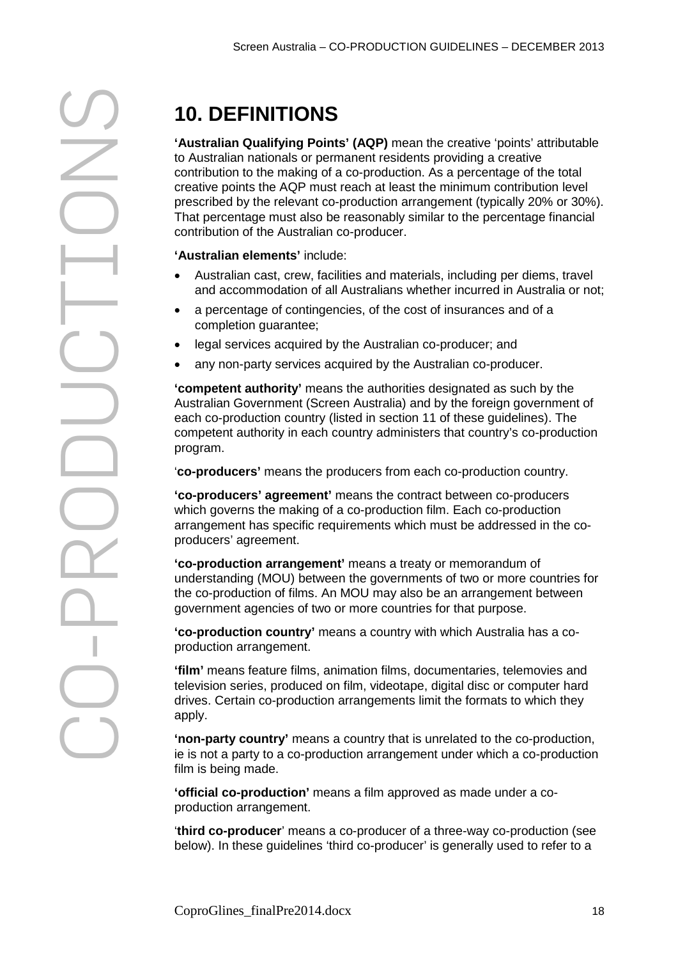**'Australian Qualifying Points' (AQP)** mean the creative 'points' attributable to Australian nationals or permanent residents providing a creative contribution to the making of a co-production. As a percentage of the total creative points the AQP must reach at least the minimum contribution level prescribed by the relevant co-production arrangement (typically 20% or 30%). That percentage must also be reasonably similar to the percentage financial contribution of the Australian co-producer.

**'Australian elements'** include:

- Australian cast, crew, facilities and materials, including per diems, travel and accommodation of all Australians whether incurred in Australia or not;
- a percentage of contingencies, of the cost of insurances and of a completion guarantee;
- legal services acquired by the Australian co-producer; and
- any non-party services acquired by the Australian co-producer.

**'competent authority'** means the authorities designated as such by the Australian Government (Screen Australia) and by the foreign government of each co-production country (listed in section 11 of these guidelines). The competent authority in each country administers that country's co-production program.

'**co-producers'** means the producers from each co-production country.

**'co-producers' agreement'** means the contract between co-producers which governs the making of a co-production film. Each co-production arrangement has specific requirements which must be addressed in the coproducers' agreement.

**'co-production arrangement'** means a treaty or memorandum of understanding (MOU) between the governments of two or more countries for the co-production of films. An MOU may also be an arrangement between government agencies of two or more countries for that purpose.

**'co-production country'** means a country with which Australia has a coproduction arrangement.

**'film'** means feature films, animation films, documentaries, telemovies and television series, produced on film, videotape, digital disc or computer hard drives. Certain co-production arrangements limit the formats to which they apply.

**'non-party country'** means a country that is unrelated to the co-production, ie is not a party to a co-production arrangement under which a co-production film is being made.

**'official co-production'** means a film approved as made under a coproduction arrangement.

'**third co-producer**' means a co-producer of a three-way co-production (see below). In these guidelines 'third co-producer' is generally used to refer to a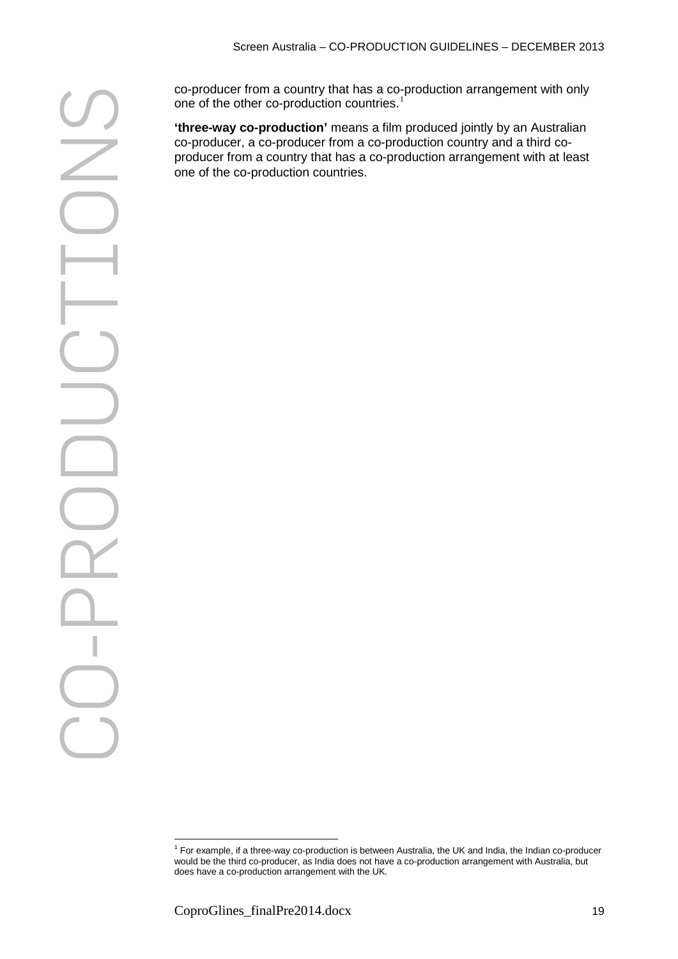co-producer from a country that has a co-production arrangement with only one of the other co-production countries.<sup>[1](#page-18-0)</sup>

**'three-way co-production'** means a film produced jointly by an Australian co-producer, a co-producer from a co-production country and a third coproducer from a country that has a co-production arrangement with at least one of the co-production countries.

<span id="page-18-0"></span><sup>1</sup> For example, if a three-way co-production is between Australia, the UK and India, the Indian co-producer would be the third co-producer, as India does not have a co-production arrangement with Australia, but does have a co-production arrangement with the UK.  $\overline{a}$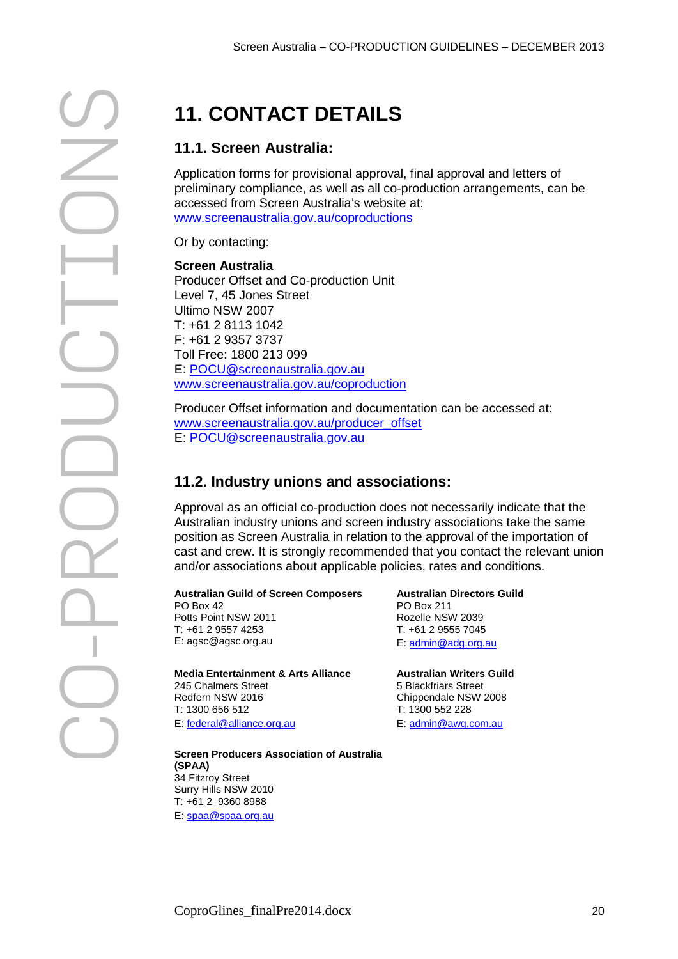# **11.1. Screen Australia:**

Application forms for provisional approval, final approval and letters of preliminary compliance, as well as all co-production arrangements, can be accessed from Screen Australia's website at: [www.screenaustralia.gov.au/coproductions](http://www.screenaustralia.gov.au/coproductions)

Or by contacting:

# **Screen Australia** Producer Offset and Co-production Unit

Level 7, 45 Jones Street Ultimo NSW 2007 T: +61 2 8113 1042 F: +61 2 9357 3737 Toll Free: 1800 213 099 E: [POCU@screenaustralia.gov.au](mailto:POCU@screenaustralia.gov.au) [www.screenaustralia.gov.au/coproduction](http://www.screenaustralia.gov.au/coproductions/)

Producer Offset information and documentation can be accessed at: [www.screenaustralia.gov.au/producer\\_offset](http://www.screenaustralia.gov.au/producer_offset) E: [POCU@screenaustralia.gov.au](mailto:POCU@screenaustralia.gov.au)

# **11.2. Industry unions and associations:**

Approval as an official co-production does not necessarily indicate that the Australian industry unions and screen industry associations take the same position as Screen Australia in relation to the approval of the importation of cast and crew. It is strongly recommended that you contact the relevant union and/or associations about applicable policies, rates and conditions.

# **Australian Guild of Screen Composers**

PO Box 42 Potts Point NSW 2011 T: +61 2 9557 4253 E: agsc@agsc.org.au

**Media Entertainment & Arts Alliance** 245 Chalmers Street Redfern NSW 2016 T: 1300 656 512 E: [federal@alliance.org.au](mailto:federal@alliance.org.au)

**Australian Directors Guild** PO Box 211 Rozelle NSW 2039

T: +61 2 9555 7045 E: [admin@adg.org.au](mailto:admin@adg.org.au)

**Australian Writers Guild** 5 Blackfriars Street Chippendale NSW 2008 T: 1300 552 228 E: [admin@awg.com.au](mailto:admin@awg.com.au)

**Screen Producers Association of Australia (SPAA)** 34 Fitzroy Street Surry Hills NSW 2010 T: +61 2 9360 8988

E: [spaa@spaa.org.au](mailto:spaa@spaa.org.au)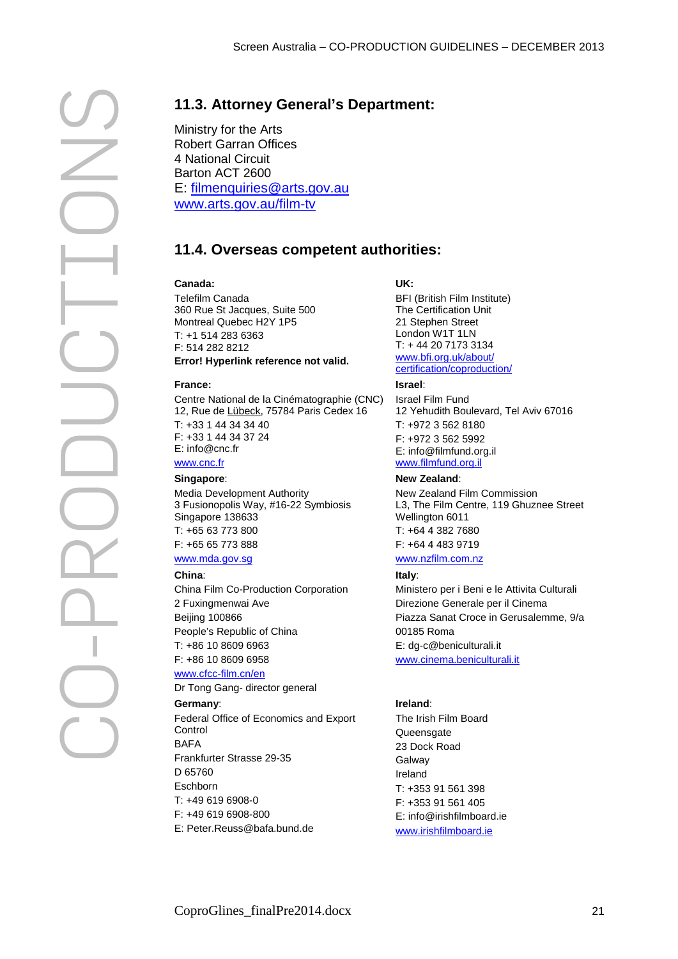Ministry for the Arts Robert Garran Offices 4 National Circuit Barton ACT 2600 E: [filmenquiries@arts.gov.au](mailto:filmenquiries@arts.gov.au) [www.arts.gov.au/film-tv](http://www.arts.gov.au/film-tv)

# **11.4. Overseas competent authorities:**

# **Canada:**

Telefilm Canada 360 Rue St Jacques, Suite 500 Montreal Quebec H2Y 1P5  $T: +1, 514, 283, 6363$ F: 514 282 8212 **Error! Hyperlink reference not valid.**

# **France:**

Centre National de la Cinématographie (CNC) 12, Rue de Lübeck, 75784 Paris Cedex 16 T: +33 1 44 34 34 40 F: +33 1 44 34 37 24 E: [info@cnc.fr](mailto:info@cnc.fr) [www.cnc.fr](http://www.cnc.fr/)

## **Singapore**:

Media Development Authority 3 Fusionopolis Way, #16-22 Symbiosis Singapore 138633 T: +65 63 773 800 F: +65 65 773 888

# [www.mda.gov.sg](http://www.mda.gov.sg/)

## **China**:

China Film Co-Production Corporation 2 Fuxingmenwai Ave Beijing 100866 People's Republic of China T: +86 10 8609 6963

## F: +86 10 8609 6958 www.cfcc-film.cn/en

Dr Tong Gang- director general

## **Germany**:

Federal Office of Economics and Export **Control BAFA** Frankfurter Strasse 29-35 D 65760 **Eschborn** T: +49 619 6908-0 F: +49 619 6908-800

## E: Peter.Reuss@bafa.bund.de

# **UK:**

BFI (British Film Institute) The Certification Unit 21 Stephen Street London W1T 1LN T: + 44 20 7173 3134 [www.bfi.org.uk/about/](http://www.bfi.org.uk/about/certification/coproduction/) [certification/coproduction/](http://www.bfi.org.uk/about/certification/coproduction/)

## **Israel**:

Israel Film Fund 12 Yehudith Boulevard, Tel Aviv 67016 T: +972 3 562 8180 F: +972 3 562 5992 E[: info@filmfund.org.il](mailto:info@filmfund.org.il) www.filmfund.org.il

## **New Zealand**:

New Zealand Film Commission L3, The Film Centre, 119 Ghuznee Street Wellington 6011 T: +64 4 382 7680 F: +64 4 483 9719

# www.nzfilm.com.nz

## **Italy**:

Ministero per i Beni e le Attivita Culturali Direzione Generale per il Cinema Piazza Sanat Croce in Gerusalemme, 9/a 00185 Roma E[: dg-c@beniculturali.it](mailto:dg-c@beniculturali.it) www.cinema.beniculturali.it

# **Ireland**:

The Irish Film Board Queensgate 23 Dock Road **Galway** Ireland T: +353 91 561 398 F: +353 91 561 405 E: [info@irishfilmboard.ie](mailto:info@irishfilmboard.ie) www.irishfilmboard.ie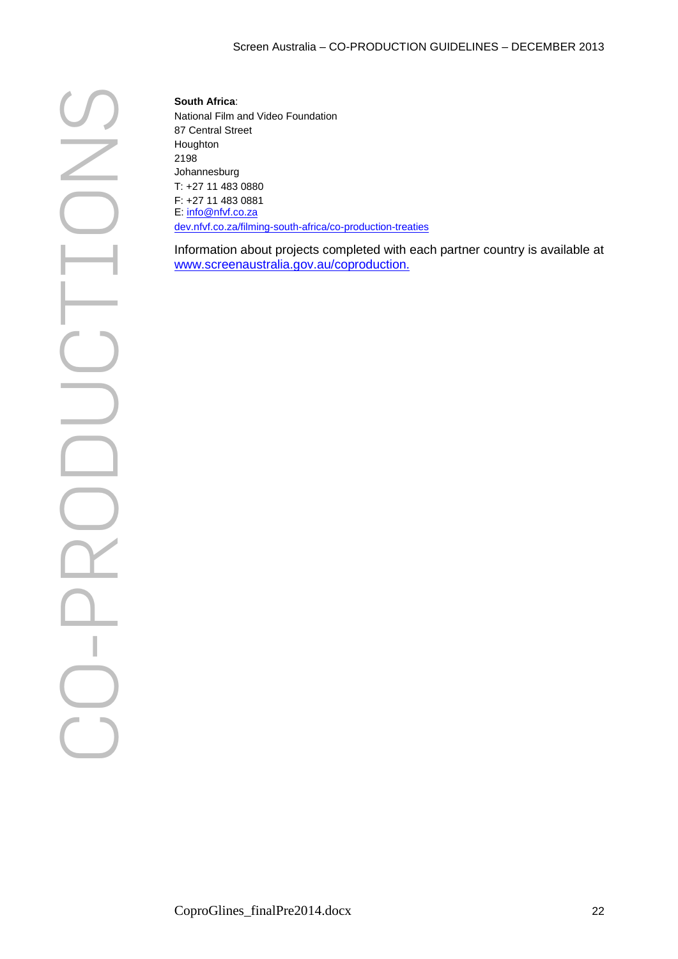National Film and Video Foundation 87 Central Street Houghton 2198 Johannesburg T: +27 11 483 0880 F: +27 11 483 0881 E: [info@nfvf.co.za](mailto:info@nfvf.co.za) [dev.nfvf.co.za/filming-south-africa/co-production-treaties](http://dev.nfvf.co.za/filming-south-africa/co-production-treaties)

Information about projects completed with each partner country is available at www.screenaustralia.gov.au/coproduction.